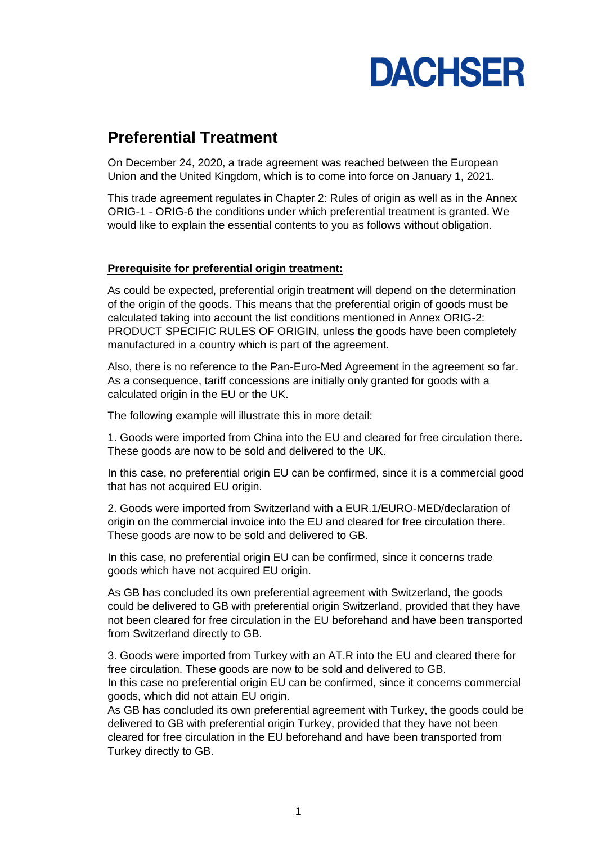

# **Preferential Treatment**

On December 24, 2020, a trade agreement was reached between the European Union and the United Kingdom, which is to come into force on January 1, 2021.

This trade agreement regulates in Chapter 2: Rules of origin as well as in the Annex ORIG-1 - ORIG-6 the conditions under which preferential treatment is granted. We would like to explain the essential contents to you as follows without obligation.

#### **Prerequisite for preferential origin treatment:**

As could be expected, preferential origin treatment will depend on the determination of the origin of the goods. This means that the preferential origin of goods must be calculated taking into account the list conditions mentioned in Annex ORIG-2: PRODUCT SPECIFIC RULES OF ORIGIN, unless the goods have been completely manufactured in a country which is part of the agreement.

Also, there is no reference to the Pan-Euro-Med Agreement in the agreement so far. As a consequence, tariff concessions are initially only granted for goods with a calculated origin in the EU or the UK.

The following example will illustrate this in more detail:

1. Goods were imported from China into the EU and cleared for free circulation there. These goods are now to be sold and delivered to the UK.

In this case, no preferential origin EU can be confirmed, since it is a commercial good that has not acquired EU origin.

2. Goods were imported from Switzerland with a EUR.1/EURO-MED/declaration of origin on the commercial invoice into the EU and cleared for free circulation there. These goods are now to be sold and delivered to GB.

In this case, no preferential origin EU can be confirmed, since it concerns trade goods which have not acquired EU origin.

As GB has concluded its own preferential agreement with Switzerland, the goods could be delivered to GB with preferential origin Switzerland, provided that they have not been cleared for free circulation in the EU beforehand and have been transported from Switzerland directly to GB.

3. Goods were imported from Turkey with an AT.R into the EU and cleared there for free circulation. These goods are now to be sold and delivered to GB. In this case no preferential origin EU can be confirmed, since it concerns commercial goods, which did not attain EU origin.

As GB has concluded its own preferential agreement with Turkey, the goods could be delivered to GB with preferential origin Turkey, provided that they have not been cleared for free circulation in the EU beforehand and have been transported from Turkey directly to GB.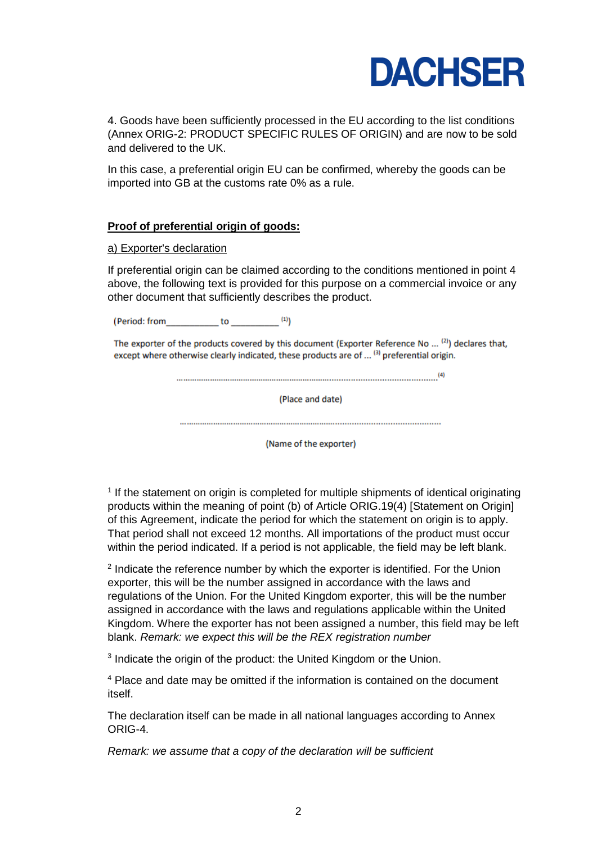

4. Goods have been sufficiently processed in the EU according to the list conditions (Annex ORIG-2: PRODUCT SPECIFIC RULES OF ORIGIN) and are now to be sold and delivered to the UK.

In this case, a preferential origin EU can be confirmed, whereby the goods can be imported into GB at the customs rate 0% as a rule.

## **Proof of preferential origin of goods:**

#### a) Exporter's declaration

If preferential origin can be claimed according to the conditions mentioned in point 4 above, the following text is provided for this purpose on a commercial invoice or any other document that sufficiently describes the product.

(Period: from\_\_\_\_\_\_\_\_\_\_\_\_\_\_ to \_\_\_\_\_\_\_\_\_\_\_\_\_\_<sup>(1)</sup>)

The exporter of the products covered by this document (Exporter Reference No ... (2)) declares that, except where otherwise clearly indicated, these products are of ... (3) preferential origin.

(Place and date)

(Name of the exporter)

<sup>1</sup> If the statement on origin is completed for multiple shipments of identical originating products within the meaning of point (b) of Article ORIG.19(4) [Statement on Origin] of this Agreement, indicate the period for which the statement on origin is to apply. That period shall not exceed 12 months. All importations of the product must occur within the period indicated. If a period is not applicable, the field may be left blank.

<sup>2</sup> Indicate the reference number by which the exporter is identified. For the Union exporter, this will be the number assigned in accordance with the laws and regulations of the Union. For the United Kingdom exporter, this will be the number assigned in accordance with the laws and regulations applicable within the United Kingdom. Where the exporter has not been assigned a number, this field may be left blank. *Remark: we expect this will be the REX registration number*

<sup>3</sup> Indicate the origin of the product: the United Kingdom or the Union.

<sup>4</sup> Place and date may be omitted if the information is contained on the document itself.

The declaration itself can be made in all national languages according to Annex ORIG-4.

*Remark: we assume that a copy of the declaration will be sufficient*